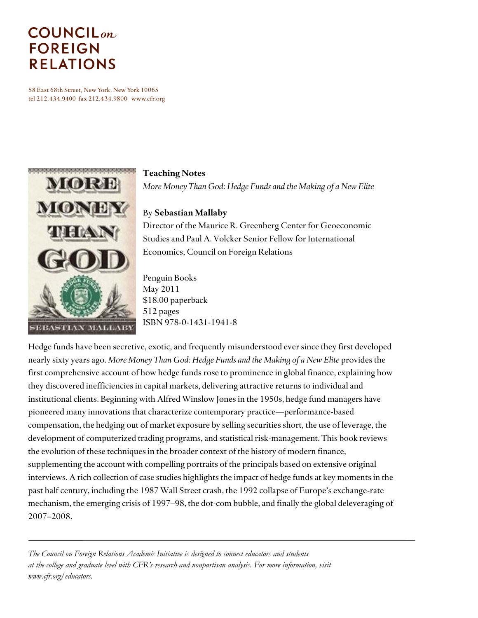# $COUNTLL_{on}$ **FOREIGN RELATIONS**

58 East 68th Street, New York, New York 10065 tel 212.434.9400 fax 212.434.9800 www.cfr.org



#### **Teaching Notes**

*More Money Than God: Hedge Funds and the Making of a New Elite*

### By **Sebastian Mallaby**

Director of the Maurice R. Greenberg Center for Geoeconomic Studies and Paul A. Volcker Senior Fellow for International Economics, Council on Foreign Relations

Penguin Books May 2011 \$18.00 paperback 512 pages ISBN 978-0-1431-1941-8

Hedge funds have been secretive, exotic, and frequently misunderstood ever since they first developed nearly sixty years ago. *More Money Than God: Hedge Funds and the Making of a New Elite* provides the first comprehensive account of how hedge funds rose to prominence in global finance, explaining how they discovered inefficiencies in capital markets, delivering attractive returns to individual and institutional clients. Beginning with Alfred Winslow Jones in the 1950s, hedge fund managers have pioneered many innovations that characterize contemporary practice—performance-based compensation, the hedging out of market exposure by selling securities short, the use of leverage, the development of computerized trading programs, and statistical risk-management. This book reviews the evolution of these techniques in the broader context of the history of modern finance, supplementing the account with compelling portraits of the principals based on extensive original interviews. A rich collection of case studies highlights the impact of hedge funds at key moments in the past half century, including the 1987 Wall Street crash, the 1992 collapse of Europe's exchange-rate mechanism, the emerging crisis of 1997–98, the dot-com bubble, and finally the global deleveraging of 2007–2008.

*The Council on Foreign Relations Academic Initiative is designed to connect educators and students at the college and graduate level with CFR's research and nonpartisan analysis. For more information, visit www.cfr.org/educators.*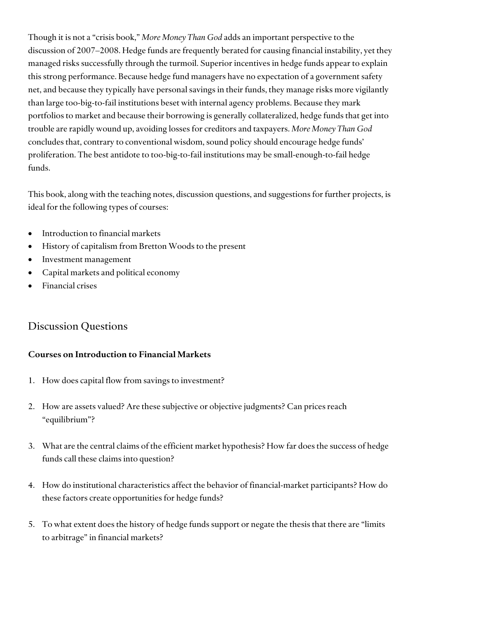Though it is not a "crisis book," *More Money Than God* adds an important perspective to the discussion of 2007–2008. Hedge funds are frequently berated for causing financial instability, yet they managed risks successfully through the turmoil. Superior incentives in hedge funds appear to explain this strong performance. Because hedge fund managers have no expectation of a government safety net, and because they typically have personal savings in their funds, they manage risks more vigilantly than large too-big-to-fail institutions beset with internal agency problems. Because they mark portfolios to market and because their borrowing is generally collateralized, hedge funds that get into trouble are rapidly wound up, avoiding losses for creditors and taxpayers. *More Money Than God*  concludes that, contrary to conventional wisdom, sound policy should encourage hedge funds' proliferation. The best antidote to too-big-to-fail institutions may be small-enough-to-fail hedge funds.

This book, along with the teaching notes, discussion questions, and suggestions for further projects, is ideal for the following types of courses:

- Introduction to financial markets
- History of capitalism from Bretton Woods to the present
- Investment management
- Capital markets and political economy
- Financial crises

## Discussion Questions

#### **Courses on Introduction to Financial Markets**

- 1. How does capital flow from savings to investment?
- 2. How are assets valued? Are these subjective or objective judgments? Can prices reach "equilibrium"?
- 3. What are the central claims of the efficient market hypothesis? How far does the success of hedge funds call these claims into question?
- 4. How do institutional characteristics affect the behavior of financial-market participants? How do these factors create opportunities for hedge funds?
- 5. To what extent does the history of hedge funds support or negate the thesis that there are "limits to arbitrage" in financial markets?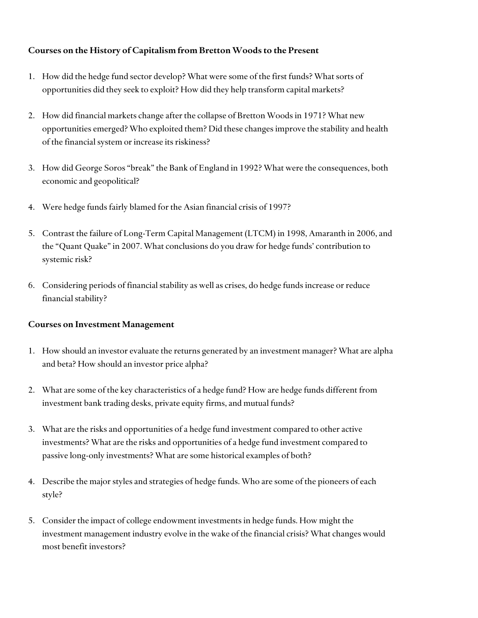#### **Courses on the History of Capitalism from Bretton Woods to the Present**

- 1. How did the hedge fund sector develop? What were some of the first funds? What sorts of opportunities did they seek to exploit? How did they help transform capital markets?
- 2. How did financial markets change after the collapse of Bretton Woods in 1971? What new opportunities emerged? Who exploited them? Did these changes improve the stability and health of the financial system or increase its riskiness?
- 3. How did George Soros "break" the Bank of England in 1992? What were the consequences, both economic and geopolitical?
- 4. Were hedge funds fairly blamed for the Asian financial crisis of 1997?
- 5. Contrast the failure of Long-Term Capital Management (LTCM) in 1998, Amaranth in 2006, and the "Quant Quake" in 2007. What conclusions do you draw for hedge funds' contribution to systemic risk?
- 6. Considering periods of financial stability as well as crises, do hedge funds increase or reduce financial stability?

#### **Courses on Investment Management**

- 1. How should an investor evaluate the returns generated by an investment manager? What are alpha and beta? How should an investor price alpha?
- 2. What are some of the key characteristics of a hedge fund? How are hedge funds different from investment bank trading desks, private equity firms, and mutual funds?
- 3. What are the risks and opportunities of a hedge fund investment compared to other active investments? What are the risks and opportunities of a hedge fund investment compared to passive long-only investments? What are some historical examples of both?
- 4. Describe the major styles and strategies of hedge funds. Who are some of the pioneers of each style?
- 5. Consider the impact of college endowment investments in hedge funds. How might the investment management industry evolve in the wake of the financial crisis? What changes would most benefit investors?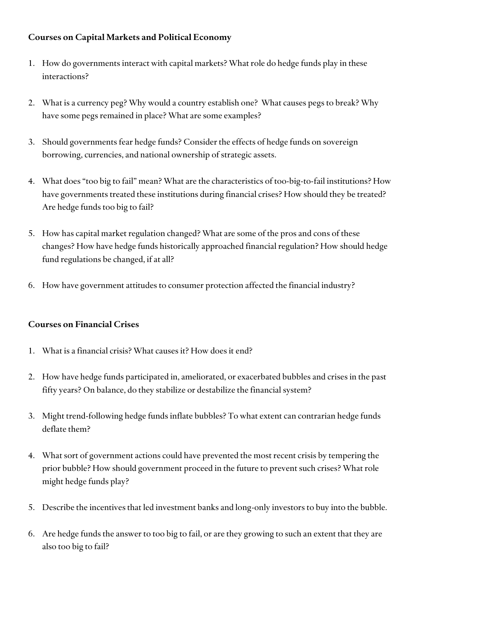#### **Courses on Capital Markets and Political Economy**

- 1. How do governments interact with capital markets? What role do hedge funds play in these interactions?
- 2. What is a currency peg? Why would a country establish one? What causes pegs to break? Why have some pegs remained in place? What are some examples?
- 3. Should governments fear hedge funds? Consider the effects of hedge funds on sovereign borrowing, currencies, and national ownership of strategic assets.
- 4. What does "too big to fail" mean? What are the characteristics of too-big-to-fail institutions? How have governments treated these institutions during financial crises? How should they be treated? Are hedge funds too big to fail?
- 5. How has capital market regulation changed? What are some of the pros and cons of these changes? How have hedge funds historically approached financial regulation? How should hedge fund regulations be changed, if at all?
- 6. How have government attitudes to consumer protection affected the financial industry?

#### **Courses on Financial Crises**

- 1. What is a financial crisis? What causes it? How does it end?
- 2. How have hedge funds participated in, ameliorated, or exacerbated bubbles and crises in the past fifty years? On balance, do they stabilize or destabilize the financial system?
- 3. Might trend-following hedge funds inflate bubbles? To what extent can contrarian hedge funds deflate them?
- 4. What sort of government actions could have prevented the most recent crisis by tempering the prior bubble? How should government proceed in the future to prevent such crises? What role might hedge funds play?
- 5. Describe the incentives that led investment banks and long-only investors to buy into the bubble.
- 6. Are hedge funds the answer to too big to fail, or are they growing to such an extent that they are also too big to fail?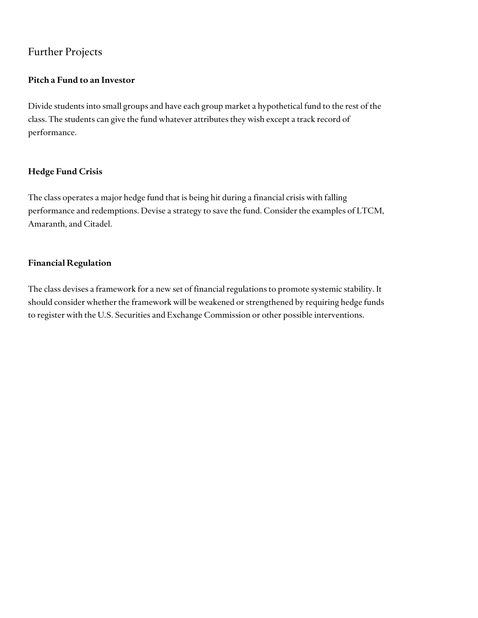## Further Projects

#### **Pitch a Fund to an Investor**

Divide students into small groups and have each group market a hypothetical fund to the rest of the class. The students can give the fund whatever attributes they wish except a track record of performance.

#### **Hedge Fund Crisis**

The class operates a major hedge fund that is being hit during a financial crisis with falling performance and redemptions. Devise a strategy to save the fund. Consider the examples of LTCM, Amaranth, and Citadel.

#### **Financial Regulation**

The class devises a framework for a new set of financial regulations to promote systemic stability. It should consider whether the framework will be weakened or strengthened by requiring hedge funds to register with the U.S. Securities and Exchange Commission or other possible interventions.